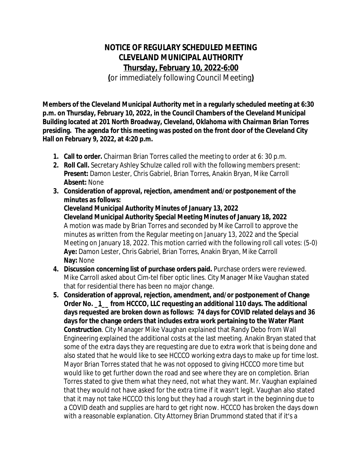## **NOTICE OF REGULARY SCHEDULED MEETING CLEVELAND MUNICIPAL AUTHORITY Thursday, February 10, 2022-6:00**

**(**or immediately following Council Meeting**)**

**Members of the Cleveland Municipal Authority met in a regularly scheduled meeting at 6:30 p.m. on Thursday, February 10, 2022, in the Council Chambers of the Cleveland Municipal Building located at 201 North Broadway, Cleveland, Oklahoma with Chairman Brian Torres presiding. The agenda for this meeting was posted on the front door of the Cleveland City Hall on February 9, 2022, at 4:20 p.m.** 

- **1. Call to order.** Chairman Brian Torres called the meeting to order at 6: 30 p.m.
- **2. Roll Call.** Secretary Ashley Schulze called roll with the following members present: **Present:** Damon Lester, Chris Gabriel, Brian Torres, Anakin Bryan, Mike Carroll **Absent:** None
- **3. Consideration of approval, rejection, amendment and/or postponement of the minutes as follows: Cleveland Municipal Authority Minutes of January 13, 2022 Cleveland Municipal Authority Special Meeting Minutes of January 18, 2022** A motion was made by Brian Torres and seconded by Mike Carroll to approve the minutes as written from the Regular meeting on January 13, 2022 and the Special Meeting on January 18, 2022. This motion carried with the following roll call votes: (5-0) **Aye:** Damon Lester, Chris Gabriel, Brian Torres, Anakin Bryan, Mike Carroll **Nay:** None
- **4. Discussion concerning list of purchase orders paid.** Purchase orders were reviewed. Mike Carroll asked about Cim-tel fiber optic lines. City Manager Mike Vaughan stated that for residential there has been no major change.
- **5. Consideration of approval, rejection, amendment, and/or postponement of Change Order No. \_1\_\_ from HCCCO, LLC requesting an additional 110 days. The additional days requested are broken down as follows: 74 days for COVID related delays and 36 days for the change orders that includes extra work pertaining to the Water Plant Construction**. City Manager Mike Vaughan explained that Randy Debo from Wall Engineering explained the additional costs at the last meeting. Anakin Bryan stated that some of the extra days they are requesting are due to extra work that is being done and also stated that he would like to see HCCCO working extra days to make up for time lost. Mayor Brian Torres stated that he was not opposed to giving HCCCO more time but would like to get further down the road and see where they are on completion. Brian Torres stated to give them what they need, not what they want. Mr. Vaughan explained that they would not have asked for the extra time if it wasn't legit. Vaughan also stated that it may not take HCCCO this long but they had a rough start in the beginning due to a COVID death and supplies are hard to get right now. HCCCO has broken the days down with a reasonable explanation. City Attorney Brian Drummond stated that if it's a